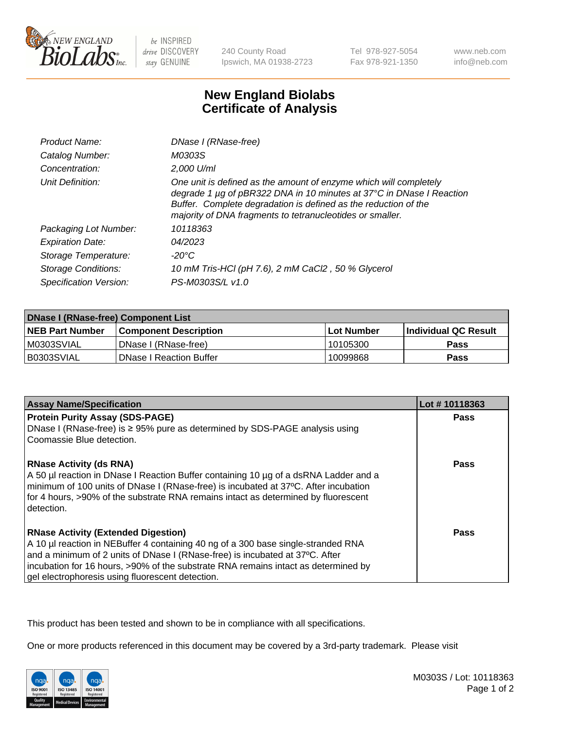

be INSPIRED drive DISCOVERY stay GENUINE

240 County Road Ipswich, MA 01938-2723 Tel 978-927-5054 Fax 978-921-1350

www.neb.com info@neb.com

## **New England Biolabs Certificate of Analysis**

| <b>Product Name:</b>       | DNase I (RNase-free)                                                                                                                                                                                                                                                      |
|----------------------------|---------------------------------------------------------------------------------------------------------------------------------------------------------------------------------------------------------------------------------------------------------------------------|
| Catalog Number:            | M0303S                                                                                                                                                                                                                                                                    |
| Concentration:             | 2,000 U/ml                                                                                                                                                                                                                                                                |
| Unit Definition:           | One unit is defined as the amount of enzyme which will completely<br>degrade 1 µg of pBR322 DNA in 10 minutes at 37°C in DNase I Reaction<br>Buffer. Complete degradation is defined as the reduction of the<br>majority of DNA fragments to tetranucleotides or smaller. |
| Packaging Lot Number:      | 10118363                                                                                                                                                                                                                                                                  |
| <b>Expiration Date:</b>    | 04/2023                                                                                                                                                                                                                                                                   |
| Storage Temperature:       | -20°C                                                                                                                                                                                                                                                                     |
| <b>Storage Conditions:</b> | 10 mM Tris-HCl (pH 7.6), 2 mM CaCl2, 50 % Glycerol                                                                                                                                                                                                                        |
| Specification Version:     | PS-M0303S/L v1.0                                                                                                                                                                                                                                                          |

| <b>DNase I (RNase-free) Component List</b> |                                |            |                             |  |
|--------------------------------------------|--------------------------------|------------|-----------------------------|--|
| <b>NEB Part Number</b>                     | <b>Component Description</b>   | Lot Number | <b>Individual QC Result</b> |  |
| M0303SVIAL                                 | DNase I (RNase-free)           | 10105300   | <b>Pass</b>                 |  |
| I B0303SVIAL                               | <b>DNase I Reaction Buffer</b> | 10099868   | <b>Pass</b>                 |  |

| <b>Assay Name/Specification</b>                                                                                                                                                                                                                                                                                                                           | Lot #10118363 |
|-----------------------------------------------------------------------------------------------------------------------------------------------------------------------------------------------------------------------------------------------------------------------------------------------------------------------------------------------------------|---------------|
| <b>Protein Purity Assay (SDS-PAGE)</b>                                                                                                                                                                                                                                                                                                                    | Pass          |
| DNase I (RNase-free) is $\geq 95\%$ pure as determined by SDS-PAGE analysis using<br>Coomassie Blue detection.                                                                                                                                                                                                                                            |               |
| <b>RNase Activity (ds RNA)</b><br>A 50 µl reaction in DNase I Reaction Buffer containing 10 µg of a dsRNA Ladder and a<br>minimum of 100 units of DNase I (RNase-free) is incubated at 37°C. After incubation<br>for 4 hours, >90% of the substrate RNA remains intact as determined by fluorescent<br>detection.                                         | <b>Pass</b>   |
| <b>RNase Activity (Extended Digestion)</b><br>A 10 µl reaction in NEBuffer 4 containing 40 ng of a 300 base single-stranded RNA<br>and a minimum of 2 units of DNase I (RNase-free) is incubated at 37°C. After<br>incubation for 16 hours, >90% of the substrate RNA remains intact as determined by<br>gel electrophoresis using fluorescent detection. | Pass          |

This product has been tested and shown to be in compliance with all specifications.

One or more products referenced in this document may be covered by a 3rd-party trademark. Please visit